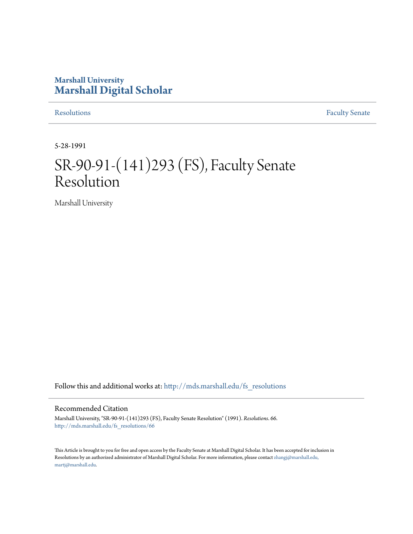## **Marshall University [Marshall Digital Scholar](http://mds.marshall.edu?utm_source=mds.marshall.edu%2Ffs_resolutions%2F66&utm_medium=PDF&utm_campaign=PDFCoverPages)**

[Resolutions](http://mds.marshall.edu/fs_resolutions?utm_source=mds.marshall.edu%2Ffs_resolutions%2F66&utm_medium=PDF&utm_campaign=PDFCoverPages) [Faculty Senate](http://mds.marshall.edu/fs?utm_source=mds.marshall.edu%2Ffs_resolutions%2F66&utm_medium=PDF&utm_campaign=PDFCoverPages)

5-28-1991

# SR-90-91-(141)293 (FS), Faculty Senate Resolution

Marshall University

Follow this and additional works at: [http://mds.marshall.edu/fs\\_resolutions](http://mds.marshall.edu/fs_resolutions?utm_source=mds.marshall.edu%2Ffs_resolutions%2F66&utm_medium=PDF&utm_campaign=PDFCoverPages)

#### Recommended Citation

Marshall University, "SR-90-91-(141)293 (FS), Faculty Senate Resolution" (1991). *Resolutions*. 66. [http://mds.marshall.edu/fs\\_resolutions/66](http://mds.marshall.edu/fs_resolutions/66?utm_source=mds.marshall.edu%2Ffs_resolutions%2F66&utm_medium=PDF&utm_campaign=PDFCoverPages)

This Article is brought to you for free and open access by the Faculty Senate at Marshall Digital Scholar. It has been accepted for inclusion in Resolutions by an authorized administrator of Marshall Digital Scholar. For more information, please contact [zhangj@marshall.edu,](mailto:zhangj@marshall.edu,%20martj@marshall.edu) [martj@marshall.edu](mailto:zhangj@marshall.edu,%20martj@marshall.edu).